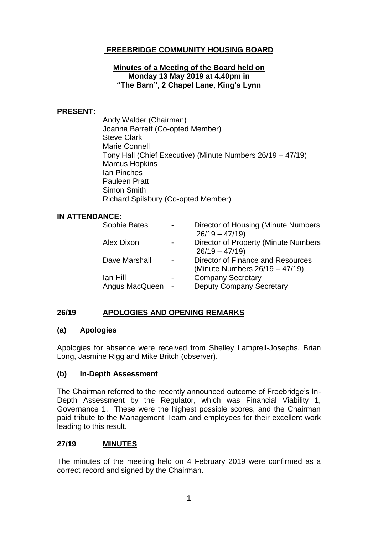# **FREEBRIDGE COMMUNITY HOUSING BOARD**

#### **Minutes of a Meeting of the Board held on Monday 13 May 2019 at 4.40pm in "The Barn", 2 Chapel Lane, King's Lynn**

#### **PRESENT:**

Andy Walder (Chairman) Joanna Barrett (Co-opted Member) Steve Clark Marie Connell Tony Hall (Chief Executive) (Minute Numbers 26/19 – 47/19) Marcus Hopkins Ian Pinches Pauleen Pratt Simon Smith Richard Spilsbury (Co-opted Member)

#### **IN ATTENDANCE:**

| Sophie Bates      | Director of Housing (Minute Numbers<br>$26/19 - 47/19$              |
|-------------------|---------------------------------------------------------------------|
| <b>Alex Dixon</b> | Director of Property (Minute Numbers<br>$26/19 - 47/19$             |
| Dave Marshall     | Director of Finance and Resources<br>(Minute Numbers 26/19 - 47/19) |
| lan Hill          | <b>Company Secretary</b>                                            |
| Angus MacQueen    | <b>Deputy Company Secretary</b>                                     |

### **26/19 APOLOGIES AND OPENING REMARKS**

### **(a) Apologies**

Apologies for absence were received from Shelley Lamprell-Josephs, Brian Long, Jasmine Rigg and Mike Britch (observer).

### **(b) In-Depth Assessment**

The Chairman referred to the recently announced outcome of Freebridge's In-Depth Assessment by the Regulator, which was Financial Viability 1, Governance 1. These were the highest possible scores, and the Chairman paid tribute to the Management Team and employees for their excellent work leading to this result.

### **27/19 MINUTES**

The minutes of the meeting held on 4 February 2019 were confirmed as a correct record and signed by the Chairman.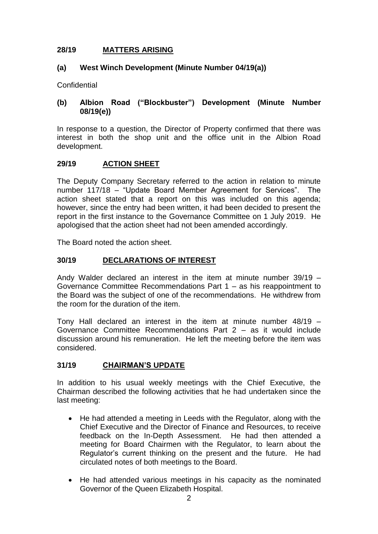## **28/19 MATTERS ARISING**

## **(a) West Winch Development (Minute Number 04/19(a))**

**Confidential** 

## **(b) Albion Road ("Blockbuster") Development (Minute Number 08/19(e))**

In response to a question, the Director of Property confirmed that there was interest in both the shop unit and the office unit in the Albion Road development.

## **29/19 ACTION SHEET**

The Deputy Company Secretary referred to the action in relation to minute number 117/18 – "Update Board Member Agreement for Services". The action sheet stated that a report on this was included on this agenda; however, since the entry had been written, it had been decided to present the report in the first instance to the Governance Committee on 1 July 2019. He apologised that the action sheet had not been amended accordingly.

The Board noted the action sheet.

## **30/19 DECLARATIONS OF INTEREST**

Andy Walder declared an interest in the item at minute number 39/19 – Governance Committee Recommendations Part 1 – as his reappointment to the Board was the subject of one of the recommendations. He withdrew from the room for the duration of the item.

Tony Hall declared an interest in the item at minute number 48/19 – Governance Committee Recommendations Part 2 – as it would include discussion around his remuneration. He left the meeting before the item was considered.

## **31/19 CHAIRMAN'S UPDATE**

In addition to his usual weekly meetings with the Chief Executive, the Chairman described the following activities that he had undertaken since the last meeting:

- He had attended a meeting in Leeds with the Regulator, along with the Chief Executive and the Director of Finance and Resources, to receive feedback on the In-Depth Assessment. He had then attended a meeting for Board Chairmen with the Regulator, to learn about the Regulator's current thinking on the present and the future. He had circulated notes of both meetings to the Board.
- He had attended various meetings in his capacity as the nominated Governor of the Queen Elizabeth Hospital.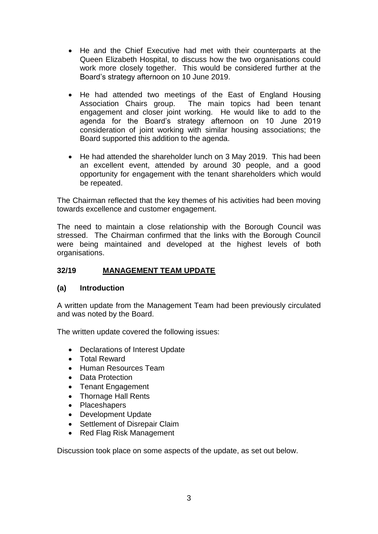- He and the Chief Executive had met with their counterparts at the Queen Elizabeth Hospital, to discuss how the two organisations could work more closely together. This would be considered further at the Board's strategy afternoon on 10 June 2019.
- He had attended two meetings of the East of England Housing Association Chairs group. The main topics had been tenant engagement and closer joint working. He would like to add to the agenda for the Board's strategy afternoon on 10 June 2019 consideration of joint working with similar housing associations; the Board supported this addition to the agenda.
- He had attended the shareholder lunch on 3 May 2019. This had been an excellent event, attended by around 30 people, and a good opportunity for engagement with the tenant shareholders which would be repeated.

The Chairman reflected that the key themes of his activities had been moving towards excellence and customer engagement.

The need to maintain a close relationship with the Borough Council was stressed. The Chairman confirmed that the links with the Borough Council were being maintained and developed at the highest levels of both organisations.

## **32/19 MANAGEMENT TEAM UPDATE**

### **(a) Introduction**

A written update from the Management Team had been previously circulated and was noted by the Board.

The written update covered the following issues:

- Declarations of Interest Update
- Total Reward
- Human Resources Team
- Data Protection
- Tenant Engagement
- Thornage Hall Rents
- Placeshapers
- Development Update
- Settlement of Disrepair Claim
- Red Flag Risk Management

Discussion took place on some aspects of the update, as set out below.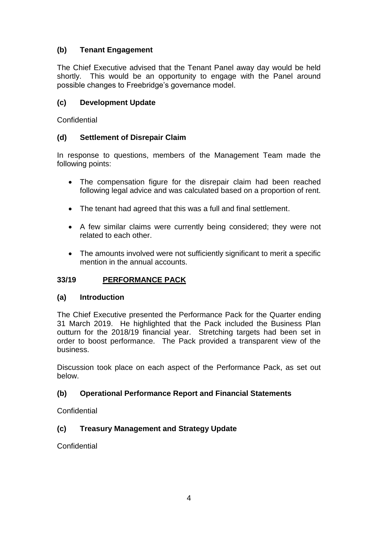# **(b) Tenant Engagement**

The Chief Executive advised that the Tenant Panel away day would be held shortly. This would be an opportunity to engage with the Panel around possible changes to Freebridge's governance model.

## **(c) Development Update**

**Confidential** 

## **(d) Settlement of Disrepair Claim**

In response to questions, members of the Management Team made the following points:

- The compensation figure for the disrepair claim had been reached following legal advice and was calculated based on a proportion of rent.
- The tenant had agreed that this was a full and final settlement.
- A few similar claims were currently being considered; they were not related to each other.
- The amounts involved were not sufficiently significant to merit a specific mention in the annual accounts.

## **33/19 PERFORMANCE PACK**

## **(a) Introduction**

The Chief Executive presented the Performance Pack for the Quarter ending 31 March 2019. He highlighted that the Pack included the Business Plan outturn for the 2018/19 financial year. Stretching targets had been set in order to boost performance. The Pack provided a transparent view of the business.

Discussion took place on each aspect of the Performance Pack, as set out below.

## **(b) Operational Performance Report and Financial Statements**

**Confidential** 

## **(c) Treasury Management and Strategy Update**

**Confidential**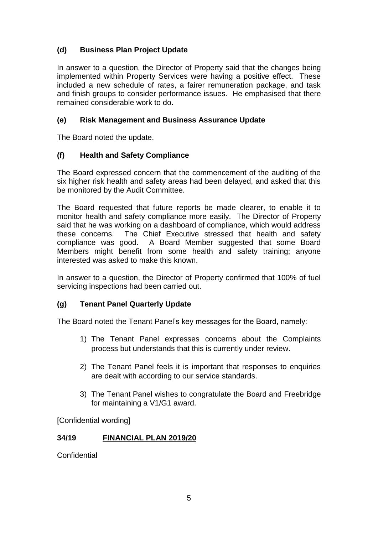# **(d) Business Plan Project Update**

In answer to a question, the Director of Property said that the changes being implemented within Property Services were having a positive effect. These included a new schedule of rates, a fairer remuneration package, and task and finish groups to consider performance issues. He emphasised that there remained considerable work to do.

## **(e) Risk Management and Business Assurance Update**

The Board noted the update.

## **(f) Health and Safety Compliance**

The Board expressed concern that the commencement of the auditing of the six higher risk health and safety areas had been delayed, and asked that this be monitored by the Audit Committee.

The Board requested that future reports be made clearer, to enable it to monitor health and safety compliance more easily. The Director of Property said that he was working on a dashboard of compliance, which would address these concerns. The Chief Executive stressed that health and safety compliance was good. A Board Member suggested that some Board Members might benefit from some health and safety training; anyone interested was asked to make this known.

In answer to a question, the Director of Property confirmed that 100% of fuel servicing inspections had been carried out.

### **(g) Tenant Panel Quarterly Update**

The Board noted the Tenant Panel's key messages for the Board, namely:

- 1) The Tenant Panel expresses concerns about the Complaints process but understands that this is currently under review.
- 2) The Tenant Panel feels it is important that responses to enquiries are dealt with according to our service standards.
- 3) The Tenant Panel wishes to congratulate the Board and Freebridge for maintaining a V1/G1 award.

[Confidential wording]

### **34/19 FINANCIAL PLAN 2019/20**

**Confidential**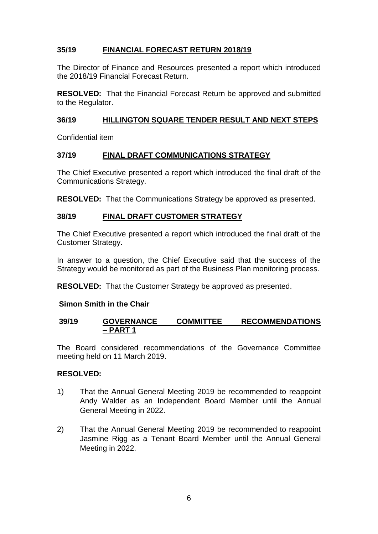## **35/19 FINANCIAL FORECAST RETURN 2018/19**

The Director of Finance and Resources presented a report which introduced the 2018/19 Financial Forecast Return.

**RESOLVED:** That the Financial Forecast Return be approved and submitted to the Regulator.

## **36/19 HILLINGTON SQUARE TENDER RESULT AND NEXT STEPS**

Confidential item

### **37/19 FINAL DRAFT COMMUNICATIONS STRATEGY**

The Chief Executive presented a report which introduced the final draft of the Communications Strategy.

**RESOLVED:** That the Communications Strategy be approved as presented.

## **38/19 FINAL DRAFT CUSTOMER STRATEGY**

The Chief Executive presented a report which introduced the final draft of the Customer Strategy.

In answer to a question, the Chief Executive said that the success of the Strategy would be monitored as part of the Business Plan monitoring process.

**RESOLVED:** That the Customer Strategy be approved as presented.

### **Simon Smith in the Chair**

### **39/19 GOVERNANCE COMMITTEE RECOMMENDATIONS – PART 1**

The Board considered recommendations of the Governance Committee meeting held on 11 March 2019.

### **RESOLVED:**

- 1) That the Annual General Meeting 2019 be recommended to reappoint Andy Walder as an Independent Board Member until the Annual General Meeting in 2022.
- 2) That the Annual General Meeting 2019 be recommended to reappoint Jasmine Rigg as a Tenant Board Member until the Annual General Meeting in 2022.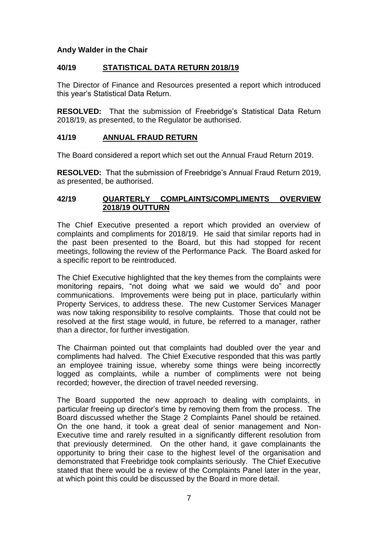### **Andy Walder in the Chair**

### **40/19 STATISTICAL DATA RETURN 2018/19**

The Director of Finance and Resources presented a report which introduced this year's Statistical Data Return.

**RESOLVED:** That the submission of Freebridge's Statistical Data Return 2018/19, as presented, to the Regulator be authorised.

## **41/19 ANNUAL FRAUD RETURN**

The Board considered a report which set out the Annual Fraud Return 2019.

**RESOLVED:** That the submission of Freebridge's Annual Fraud Return 2019, as presented, be authorised.

### **42/19 QUARTERLY COMPLAINTS/COMPLIMENTS OVERVIEW 2018/19 OUTTURN**

The Chief Executive presented a report which provided an overview of complaints and compliments for 2018/19. He said that similar reports had in the past been presented to the Board, but this had stopped for recent meetings, following the review of the Performance Pack. The Board asked for a specific report to be reintroduced.

The Chief Executive highlighted that the key themes from the complaints were monitoring repairs, "not doing what we said we would do" and poor communications. Improvements were being put in place, particularly within Property Services, to address these. The new Customer Services Manager was now taking responsibility to resolve complaints. Those that could not be resolved at the first stage would, in future, be referred to a manager, rather than a director, for further investigation.

The Chairman pointed out that complaints had doubled over the year and compliments had halved. The Chief Executive responded that this was partly an employee training issue, whereby some things were being incorrectly logged as complaints, while a number of compliments were not being recorded; however, the direction of travel needed reversing.

The Board supported the new approach to dealing with complaints, in particular freeing up director's time by removing them from the process. The Board discussed whether the Stage 2 Complaints Panel should be retained. On the one hand, it took a great deal of senior management and Non-Executive time and rarely resulted in a significantly different resolution from that previously determined. On the other hand, it gave complainants the opportunity to bring their case to the highest level of the organisation and demonstrated that Freebridge took complaints seriously. The Chief Executive stated that there would be a review of the Complaints Panel later in the year, at which point this could be discussed by the Board in more detail.